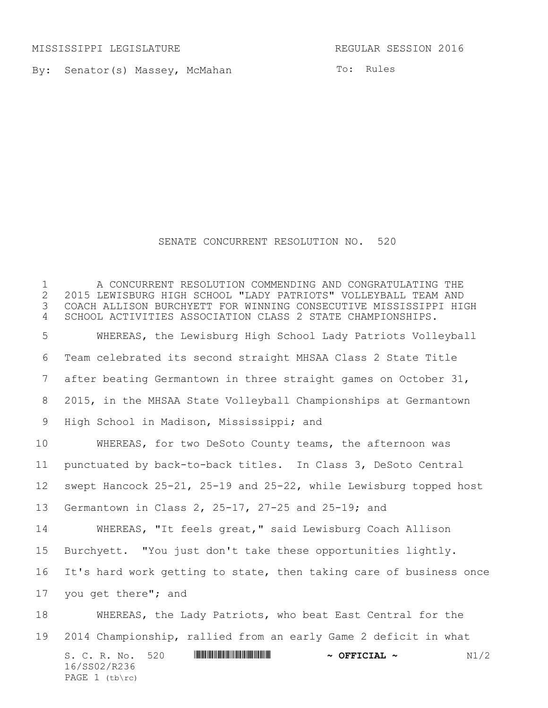MISSISSIPPI LEGISLATURE REGULAR SESSION 2016

PAGE (tb\rc)

By: Senator(s) Massey, McMahan

To: Rules

## SENATE CONCURRENT RESOLUTION NO. 520

S. C. R. No. 520 **\*\*\* ANIES AND AND ASSEMBLE AT A OFFICIAL ~** N1/2 16/SS02/R236 A CONCURRENT RESOLUTION COMMENDING AND CONGRATULATING THE 2015 LEWISBURG HIGH SCHOOL "LADY PATRIOTS" VOLLEYBALL TEAM AND COACH ALLISON BURCHYETT FOR WINNING CONSECUTIVE MISSISSIPPI HIGH SCHOOL ACTIVITIES ASSOCIATION CLASS 2 STATE CHAMPIONSHIPS. WHEREAS, the Lewisburg High School Lady Patriots Volleyball Team celebrated its second straight MHSAA Class 2 State Title after beating Germantown in three straight games on October 31, 2015, in the MHSAA State Volleyball Championships at Germantown High School in Madison, Mississippi; and WHEREAS, for two DeSoto County teams, the afternoon was punctuated by back-to-back titles. In Class 3, DeSoto Central swept Hancock 25-21, 25-19 and 25-22, while Lewisburg topped host Germantown in Class 2, 25-17, 27-25 and 25-19; and WHEREAS, "It feels great," said Lewisburg Coach Allison Burchyett. "You just don't take these opportunities lightly. It's hard work getting to state, then taking care of business once you get there"; and WHEREAS, the Lady Patriots, who beat East Central for the 2014 Championship, rallied from an early Game 2 deficit in what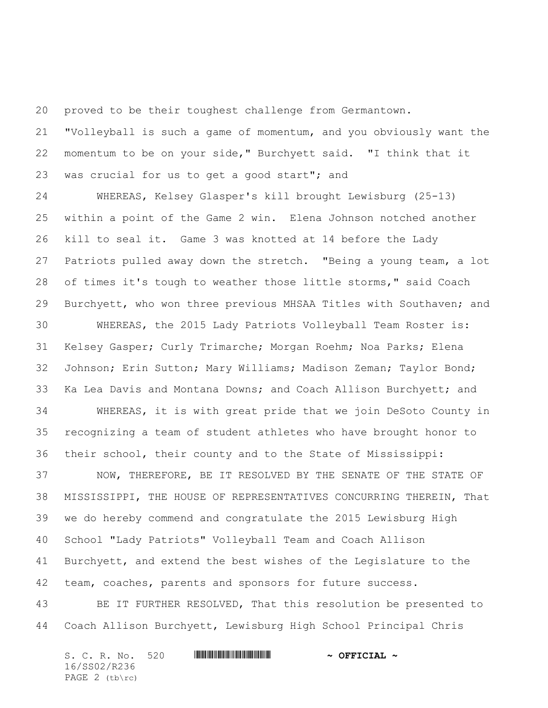proved to be their toughest challenge from Germantown.

 "Volleyball is such a game of momentum, and you obviously want the momentum to be on your side," Burchyett said. "I think that it was crucial for us to get a good start"; and

 WHEREAS, Kelsey Glasper's kill brought Lewisburg (25-13) within a point of the Game 2 win. Elena Johnson notched another kill to seal it. Game 3 was knotted at 14 before the Lady Patriots pulled away down the stretch. "Being a young team, a lot of times it's tough to weather those little storms," said Coach Burchyett, who won three previous MHSAA Titles with Southaven; and

 WHEREAS, the 2015 Lady Patriots Volleyball Team Roster is: Kelsey Gasper; Curly Trimarche; Morgan Roehm; Noa Parks; Elena Johnson; Erin Sutton; Mary Williams; Madison Zeman; Taylor Bond; Ka Lea Davis and Montana Downs; and Coach Allison Burchyett; and

 WHEREAS, it is with great pride that we join DeSoto County in recognizing a team of student athletes who have brought honor to their school, their county and to the State of Mississippi:

 NOW, THEREFORE, BE IT RESOLVED BY THE SENATE OF THE STATE OF MISSISSIPPI, THE HOUSE OF REPRESENTATIVES CONCURRING THEREIN, That we do hereby commend and congratulate the 2015 Lewisburg High School "Lady Patriots" Volleyball Team and Coach Allison Burchyett, and extend the best wishes of the Legislature to the team, coaches, parents and sponsors for future success.

 BE IT FURTHER RESOLVED, That this resolution be presented to Coach Allison Burchyett, Lewisburg High School Principal Chris

| S. C. R. No. 520 |  | $\sim$ OFFICIAL $\sim$ |
|------------------|--|------------------------|
| 16/SS02/R236     |  |                        |
| PAGE $2$ (tb\rc) |  |                        |